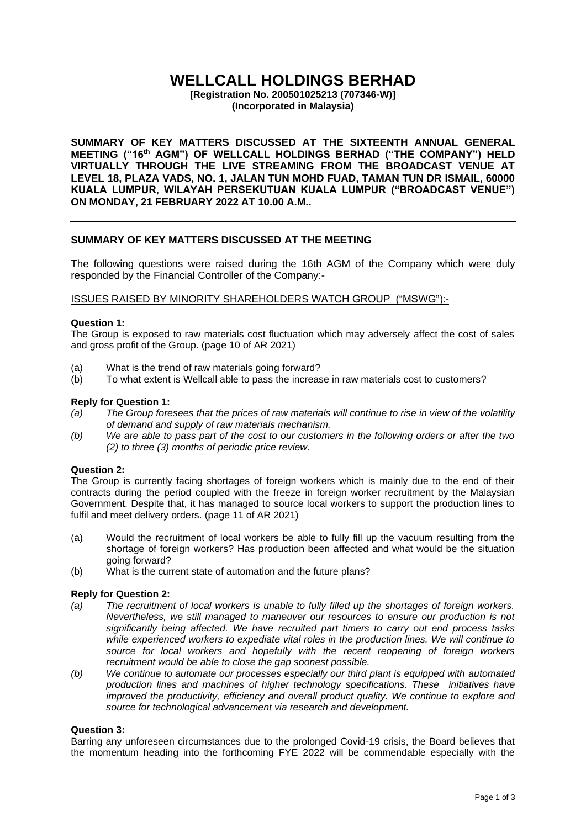# **WELLCALL HOLDINGS BERHAD**

**[Registration No. 200501025213 (707346-W)] (Incorporated in Malaysia)**

**SUMMARY OF KEY MATTERS DISCUSSED AT THE SIXTEENTH ANNUAL GENERAL MEETING ("16 th AGM") OF WELLCALL HOLDINGS BERHAD ("THE COMPANY") HELD VIRTUALLY THROUGH THE LIVE STREAMING FROM THE BROADCAST VENUE AT LEVEL 18, PLAZA VADS, NO. 1, JALAN TUN MOHD FUAD, TAMAN TUN DR ISMAIL, 60000 KUALA LUMPUR, WILAYAH PERSEKUTUAN KUALA LUMPUR ("BROADCAST VENUE") ON MONDAY, 21 FEBRUARY 2022 AT 10.00 A.M..**

### **SUMMARY OF KEY MATTERS DISCUSSED AT THE MEETING**

The following questions were raised during the 16th AGM of the Company which were duly responded by the Financial Controller of the Company:-

#### ISSUES RAISED BY MINORITY SHAREHOLDERS WATCH GROUP ("MSWG"):-

#### **Question 1:**

The Group is exposed to raw materials cost fluctuation which may adversely affect the cost of sales and gross profit of the Group. (page 10 of AR 2021)

- (a) What is the trend of raw materials going forward?
- (b) To what extent is Wellcall able to pass the increase in raw materials cost to customers?

#### **Reply for Question 1:**

- *(a) The Group foresees that the prices of raw materials will continue to rise in view of the volatility of demand and supply of raw materials mechanism.*
- *(b) We are able to pass part of the cost to our customers in the following orders or after the two (2) to three (3) months of periodic price review.*

#### **Question 2:**

The Group is currently facing shortages of foreign workers which is mainly due to the end of their contracts during the period coupled with the freeze in foreign worker recruitment by the Malaysian Government. Despite that, it has managed to source local workers to support the production lines to fulfil and meet delivery orders. (page 11 of AR 2021)

- (a) Would the recruitment of local workers be able to fully fill up the vacuum resulting from the shortage of foreign workers? Has production been affected and what would be the situation going forward?
- (b) What is the current state of automation and the future plans?

#### **Reply for Question 2:**

- *(a) The recruitment of local workers is unable to fully filled up the shortages of foreign workers. Nevertheless, we still managed to maneuver our resources to ensure our production is not significantly being affected. We have recruited part timers to carry out end process tasks while experienced workers to expediate vital roles in the production lines. We will continue to source for local workers and hopefully with the recent reopening of foreign workers recruitment would be able to close the gap soonest possible.*
- *(b) We continue to automate our processes especially our third plant is equipped with automated production lines and machines of higher technology specifications. These initiatives have improved the productivity, efficiency and overall product quality. We continue to explore and source for technological advancement via research and development.*

### **Question 3:**

Barring any unforeseen circumstances due to the prolonged Covid-19 crisis, the Board believes that the momentum heading into the forthcoming FYE 2022 will be commendable especially with the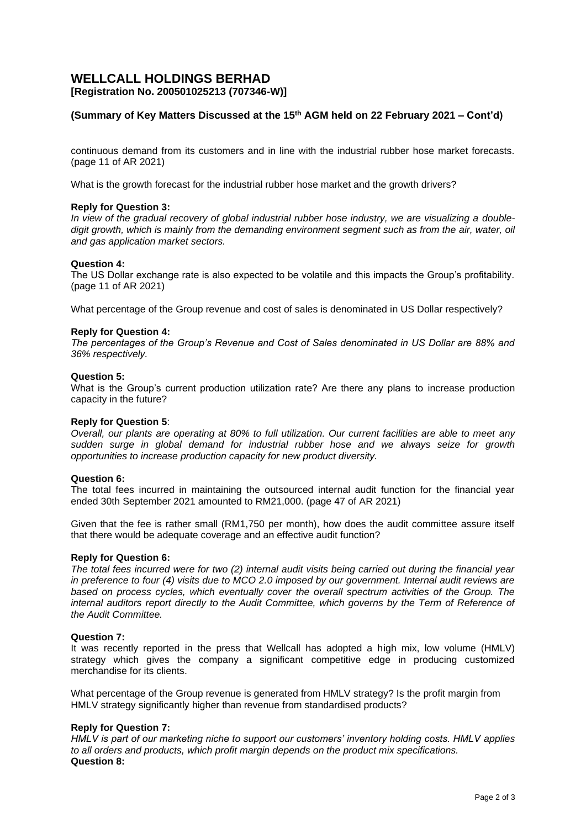# **WELLCALL HOLDINGS BERHAD [Registration No. 200501025213 (707346-W)]**

# **(Summary of Key Matters Discussed at the 15 th AGM held on 22 February 2021 – Cont'd)**

continuous demand from its customers and in line with the industrial rubber hose market forecasts. (page 11 of AR 2021)

What is the growth forecast for the industrial rubber hose market and the growth drivers?

#### **Reply for Question 3:**

In view of the gradual recovery of global industrial rubber hose industry, we are visualizing a double*digit growth, which is mainly from the demanding environment segment such as from the air, water, oil and gas application market sectors.*

#### **Question 4:**

The US Dollar exchange rate is also expected to be volatile and this impacts the Group's profitability. (page 11 of AR 2021)

What percentage of the Group revenue and cost of sales is denominated in US Dollar respectively?

#### **Reply for Question 4:**

*The percentages of the Group's Revenue and Cost of Sales denominated in US Dollar are 88% and 36% respectively.*

#### **Question 5:**

What is the Group's current production utilization rate? Are there any plans to increase production capacity in the future?

#### **Reply for Question 5**:

*Overall, our plants are operating at 80% to full utilization. Our current facilities are able to meet any sudden surge in global demand for industrial rubber hose and we always seize for growth opportunities to increase production capacity for new product diversity.*

#### **Question 6:**

The total fees incurred in maintaining the outsourced internal audit function for the financial year ended 30th September 2021 amounted to RM21,000. (page 47 of AR 2021)

Given that the fee is rather small (RM1,750 per month), how does the audit committee assure itself that there would be adequate coverage and an effective audit function?

#### **Reply for Question 6:**

*The total fees incurred were for two (2) internal audit visits being carried out during the financial year in preference to four (4) visits due to MCO 2.0 imposed by our government. Internal audit reviews are based on process cycles, which eventually cover the overall spectrum activities of the Group. The internal auditors report directly to the Audit Committee, which governs by the Term of Reference of the Audit Committee.* 

#### **Question 7:**

It was recently reported in the press that Wellcall has adopted a high mix, low volume (HMLV) strategy which gives the company a significant competitive edge in producing customized merchandise for its clients.

What percentage of the Group revenue is generated from HMLV strategy? Is the profit margin from HMLV strategy significantly higher than revenue from standardised products?

#### **Reply for Question 7:**

*HMLV is part of our marketing niche to support our customers' inventory holding costs. HMLV applies to all orders and products, which profit margin depends on the product mix specifications.* **Question 8:**